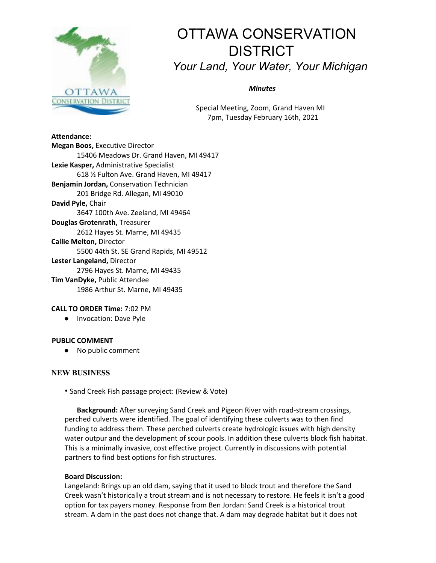

# OTTAWA CONSERVATION **DISTRICT** *Your Land, Your Water, Your Michigan*

*Minutes*

Special Meeting, Zoom, Grand Haven MI 7pm, Tuesday February 16th, 2021

#### **Attendance:**

**Megan Boos,** Executive Director 15406 Meadows Dr. Grand Haven, MI 49417 **Lexie Kasper,** Administrative Specialist 618 ½ Fulton Ave. Grand Haven, MI 49417 **Benjamin Jordan,** Conservation Technician 201 Bridge Rd. Allegan, MI 49010 **David Pyle,** Chair 3647 100th Ave. Zeeland, MI 49464 **Douglas Grotenrath,** Treasurer 2612 Hayes St. Marne, MI 49435 **Callie Melton,** Director 5500 44th St. SE Grand Rapids, MI 49512 **Lester Langeland,** Director 2796 Hayes St. Marne, MI 49435 **Tim VanDyke,** Public Attendee 1986 Arthur St. Marne, MI 49435

## **CALL TO ORDER Time:** 7:02 PM

● Invocation: Dave Pyle

## **PUBLIC COMMENT**

● No public comment

## **NEW BUSINESS**

• Sand Creek Fish passage project: (Review & Vote)

**Background:** After surveying Sand Creek and Pigeon River with road-stream crossings, perched culverts were identified. The goal of identifying these culverts was to then find funding to address them. These perched culverts create hydrologic issues with high density water outpur and the development of scour pools. In addition these culverts block fish habitat. This is a minimally invasive, cost effective project. Currently in discussions with potential partners to find best options for fish structures.

## **Board Discussion:**

Langeland: Brings up an old dam, saying that it used to block trout and therefore the Sand Creek wasn't historically a trout stream and is not necessary to restore. He feels it isn't a good option for tax payers money. Response from Ben Jordan: Sand Creek is a historical trout stream. A dam in the past does not change that. A dam may degrade habitat but it does not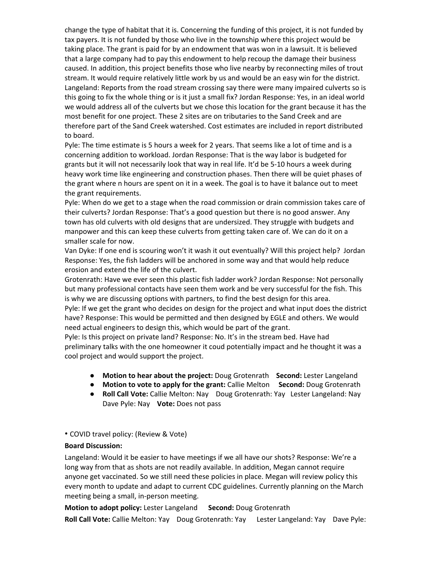change the type of habitat that it is. Concerning the funding of this project, it is not funded by tax payers. It is not funded by those who live in the township where this project would be taking place. The grant is paid for by an endowment that was won in a lawsuit. It is believed that a large company had to pay this endowment to help recoup the damage their business caused. In addition, this project benefits those who live nearby by reconnecting miles of trout stream. It would require relatively little work by us and would be an easy win for the district. Langeland: Reports from the road stream crossing say there were many impaired culverts so is this going to fix the whole thing or is it just a small fix? Jordan Response: Yes, in an ideal world we would address all of the culverts but we chose this location for the grant because it has the most benefit for one project. These 2 sites are on tributaries to the Sand Creek and are therefore part of the Sand Creek watershed. Cost estimates are included in report distributed to board.

Pyle: The time estimate is 5 hours a week for 2 years. That seems like a lot of time and is a concerning addition to workload. Jordan Response: That is the way labor is budgeted for grants but it will not necessarily look that way in real life. It'd be 5-10 hours a week during heavy work time like engineering and construction phases. Then there will be quiet phases of the grant where n hours are spent on it in a week. The goal is to have it balance out to meet the grant requirements.

Pyle: When do we get to a stage when the road commission or drain commission takes care of their culverts? Jordan Response: That's a good question but there is no good answer. Any town has old culverts with old designs that are undersized. They struggle with budgets and manpower and this can keep these culverts from getting taken care of. We can do it on a smaller scale for now.

Van Dyke: If one end is scouring won't it wash it out eventually? Will this project help? Jordan Response: Yes, the fish ladders will be anchored in some way and that would help reduce erosion and extend the life of the culvert.

Grotenrath: Have we ever seen this plastic fish ladder work? Jordan Response: Not personally but many professional contacts have seen them work and be very successful for the fish. This is why we are discussing options with partners, to find the best design for this area.

Pyle: If we get the grant who decides on design for the project and what input does the district have? Response: This would be permitted and then designed by EGLE and others. We would need actual engineers to design this, which would be part of the grant.

Pyle: Is this project on private land? Response: No. It's in the stream bed. Have had preliminary talks with the one homeowner it coud potentially impact and he thought it was a cool project and would support the project.

- **Motion to hear about the project:** Doug Grotenrath **Second:** Lester Langeland
- **Motion to vote to apply for the grant:** Callie Melton **Second:** Doug Grotenrath
- **Roll Call Vote:** Callie Melton: Nay Doug Grotenrath: Yay Lester Langeland: Nay Dave Pyle: Nay **Vote:** Does not pass
- COVID travel policy: (Review & Vote)

## **Board Discussion:**

Langeland: Would it be easier to have meetings if we all have our shots? Response: We're a long way from that as shots are not readily available. In addition, Megan cannot require anyone get vaccinated. So we still need these policies in place. Megan will review policy this every month to update and adapt to current CDC guidelines. Currently planning on the March meeting being a small, in-person meeting.

**Motion to adopt policy:** Lester Langeland **Second:** Doug Grotenrath

**Roll Call Vote:** Callie Melton: Yay Doug Grotenrath: Yay Lester Langeland: Yay Dave Pyle: